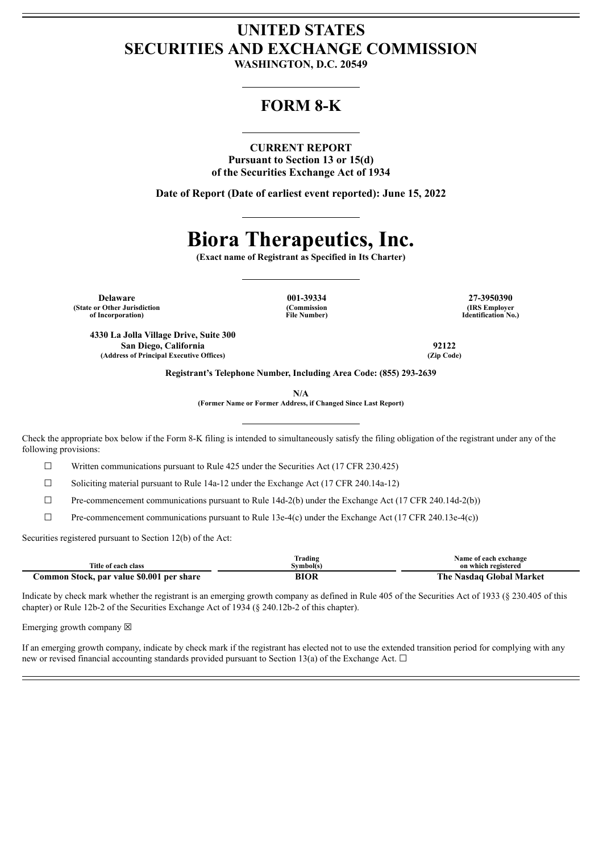## **UNITED STATES SECURITIES AND EXCHANGE COMMISSION**

**WASHINGTON, D.C. 20549**

### **FORM 8-K**

#### **CURRENT REPORT**

**Pursuant to Section 13 or 15(d) of the Securities Exchange Act of 1934**

**Date of Report (Date of earliest event reported): June 15, 2022**

# **Biora Therapeutics, Inc.**

**(Exact name of Registrant as Specified in Its Charter)**

**Delaware 001-39334 27-3950390 (State or Other Jurisdiction of Incorporation)**

**(Commission File Number)**

**(IRS Employer Identification No.)**

**4330 La Jolla Village Drive, Suite 300 San Diego, California 92122 (Address of Principal Executive Offices) (Zip Code)**

**Registrant's Telephone Number, Including Area Code: (855) 293-2639**

**N/A**

**(Former Name or Former Address, if Changed Since Last Report)**

Check the appropriate box below if the Form 8-K filing is intended to simultaneously satisfy the filing obligation of the registrant under any of the following provisions:

 $\Box$  Written communications pursuant to Rule 425 under the Securities Act (17 CFR 230.425)

 $\Box$  Soliciting material pursuant to Rule 14a-12 under the Exchange Act (17 CFR 240.14a-12)

 $\Box$  Pre-commencement communications pursuant to Rule 14d-2(b) under the Exchange Act (17 CFR 240.14d-2(b))

 $\Box$  Pre-commencement communications pursuant to Rule 13e-4(c) under the Exchange Act (17 CFR 240.13e-4(c))

Securities registered pursuant to Section 12(b) of the Act:

|                                           | Frading  | Name of each exchange    |
|-------------------------------------------|----------|--------------------------|
| Title of each class                       | Svmbol(s | on which registered      |
| Common Stock, par value \$0.001 per share | BIOR     | The Nasdaq Global Market |

Indicate by check mark whether the registrant is an emerging growth company as defined in Rule 405 of the Securities Act of 1933 (§ 230.405 of this chapter) or Rule 12b-2 of the Securities Exchange Act of 1934 (§ 240.12b-2 of this chapter).

Emerging growth company  $\boxtimes$ 

If an emerging growth company, indicate by check mark if the registrant has elected not to use the extended transition period for complying with any new or revised financial accounting standards provided pursuant to Section 13(a) of the Exchange Act.  $\Box$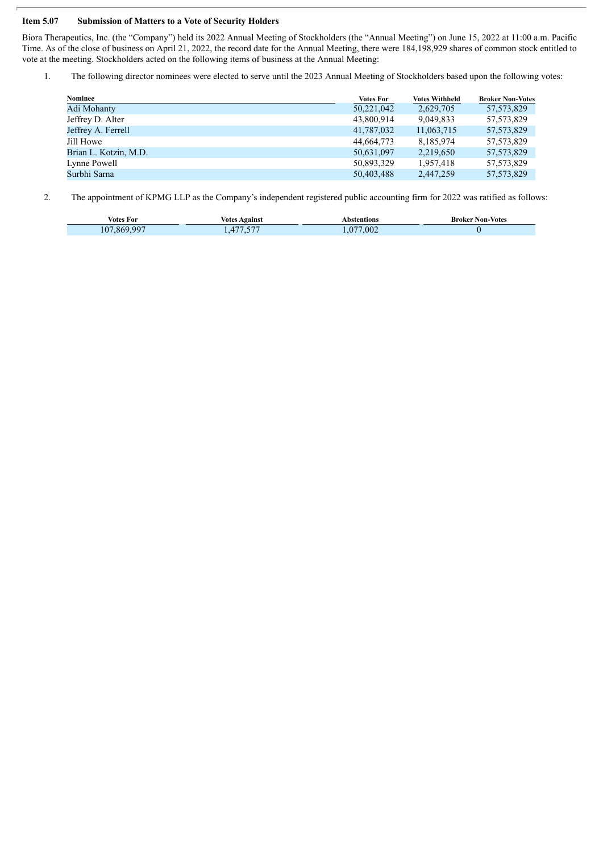#### **Item 5.07 Submission of Matters to a Vote of Security Holders**

Biora Therapeutics, Inc. (the "Company") held its 2022 Annual Meeting of Stockholders (the "Annual Meeting") on June 15, 2022 at 11:00 a.m. Pacific Time. As of the close of business on April 21, 2022, the record date for the Annual Meeting, there were 184,198,929 shares of common stock entitled to vote at the meeting. Stockholders acted on the following items of business at the Annual Meeting:

1. The following director nominees were elected to serve until the 2023 Annual Meeting of Stockholders based upon the following votes:

| Nominee               | <b>Votes For</b> | <b>Votes Withheld</b> | <b>Broker Non-Votes</b> |
|-----------------------|------------------|-----------------------|-------------------------|
| Adi Mohanty           | 50,221,042       | 2,629,705             | 57, 573, 829            |
| Jeffrey D. Alter      | 43,800,914       | 9,049,833             | 57, 573, 829            |
| Jeffrey A. Ferrell    | 41,787,032       | 11,063,715            | 57, 573, 829            |
| Jill Howe             | 44.664.773       | 8.185.974             | 57, 573, 829            |
| Brian L. Kotzin, M.D. | 50,631,097       | 2,219,650             | 57, 573, 829            |
| Lynne Powell          | 50,893,329       | 1,957,418             | 57, 573, 829            |
| Surbhi Sarna          | 50,403,488       | 2,447,259             | 57, 573, 829            |
|                       |                  |                       |                         |

2. The appointment of KPMG LLP as the Company's independent registered public accounting firm for 2022 was ratified as follows:

| Votes For      | <b>Votes Against</b>                         | Abstentions                        | <b>Broker Non-Votes</b> |
|----------------|----------------------------------------------|------------------------------------|-------------------------|
| 869 997<br>107 | $F \rightarrow T$<br>$-7$<br>$\prime$<br>. J | .002<br>$\sqrt{2}$<br>$\mathbf{U}$ |                         |